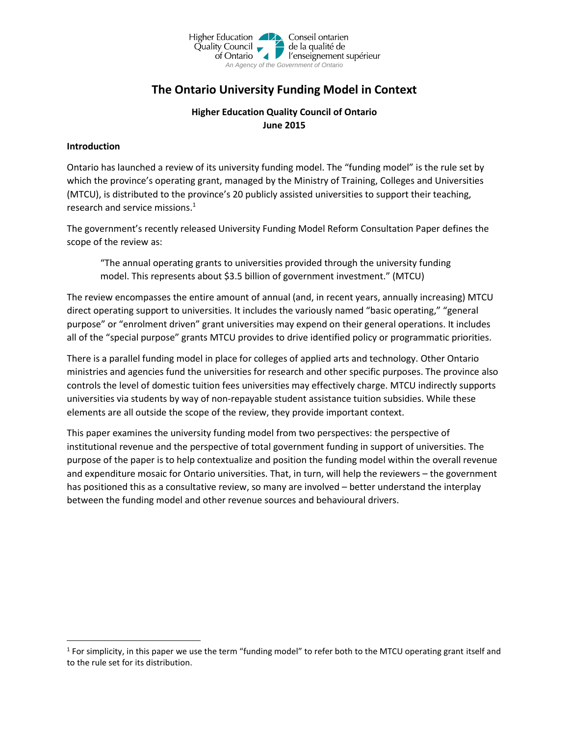

# **The Ontario University Funding Model in Context**

# **Higher Education Quality Council of Ontario June 2015**

#### **Introduction**

l

Ontario has launched a review of its university funding model. The "funding model" is the rule set by which the province's operating grant, managed by the Ministry of Training, Colleges and Universities (MTCU), is distributed to the province's 20 publicly assisted universities to support their teaching, research and service missions. 1

The government's recently released University Funding Model Reform Consultation Paper defines the scope of the review as:

"The annual operating grants to universities provided through the university funding model. This represents about \$3.5 billion of government investment." (MTCU)

The review encompasses the entire amount of annual (and, in recent years, annually increasing) MTCU direct operating support to universities. It includes the variously named "basic operating," "general purpose" or "enrolment driven" grant universities may expend on their general operations. It includes all of the "special purpose" grants MTCU provides to drive identified policy or programmatic priorities.

There is a parallel funding model in place for colleges of applied arts and technology. Other Ontario ministries and agencies fund the universities for research and other specific purposes. The province also controls the level of domestic tuition fees universities may effectively charge. MTCU indirectly supports universities via students by way of non-repayable student assistance tuition subsidies. While these elements are all outside the scope of the review, they provide important context.

This paper examines the university funding model from two perspectives: the perspective of institutional revenue and the perspective of total government funding in support of universities. The purpose of the paper is to help contextualize and position the funding model within the overall revenue and expenditure mosaic for Ontario universities. That, in turn, will help the reviewers – the government has positioned this as a consultative review, so many are involved – better understand the interplay between the funding model and other revenue sources and behavioural drivers.

<sup>&</sup>lt;sup>1</sup> For simplicity, in this paper we use the term "funding model" to refer both to the MTCU operating grant itself and to the rule set for its distribution.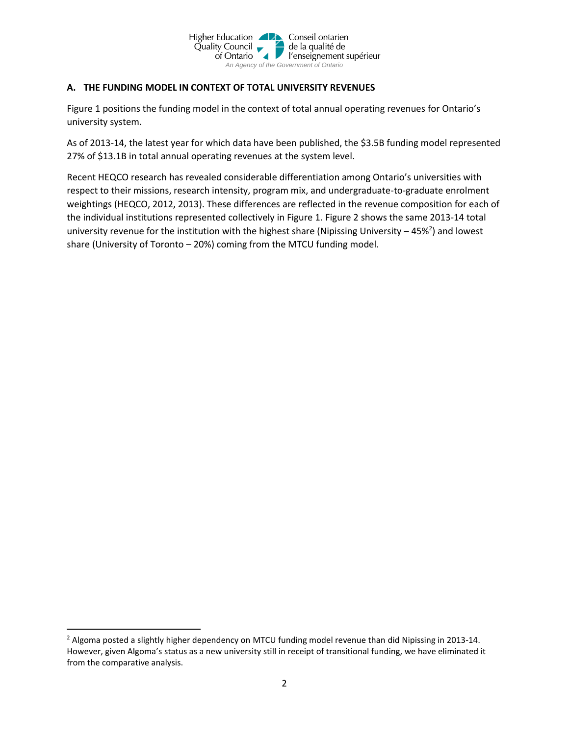

### **A. THE FUNDING MODEL IN CONTEXT OF TOTAL UNIVERSITY REVENUES**

Figure 1 positions the funding model in the context of total annual operating revenues for Ontario's university system.

As of 2013-14, the latest year for which data have been published, the \$3.5B funding model represented 27% of \$13.1B in total annual operating revenues at the system level.

Recent HEQCO research has revealed considerable differentiation among Ontario's universities with respect to their missions, research intensity, program mix, and undergraduate-to-graduate enrolment weightings (HEQCO, 2012, 2013). These differences are reflected in the revenue composition for each of the individual institutions represented collectively in Figure 1. Figure 2 shows the same 2013-14 total university revenue for the institution with the highest share (Nipissing University  $-45\%$ <sup>2</sup>) and lowest share (University of Toronto – 20%) coming from the MTCU funding model.

 $\overline{\phantom{a}}$ 

<sup>&</sup>lt;sup>2</sup> Algoma posted a slightly higher dependency on MTCU funding model revenue than did Nipissing in 2013-14. However, given Algoma's status as a new university still in receipt of transitional funding, we have eliminated it from the comparative analysis.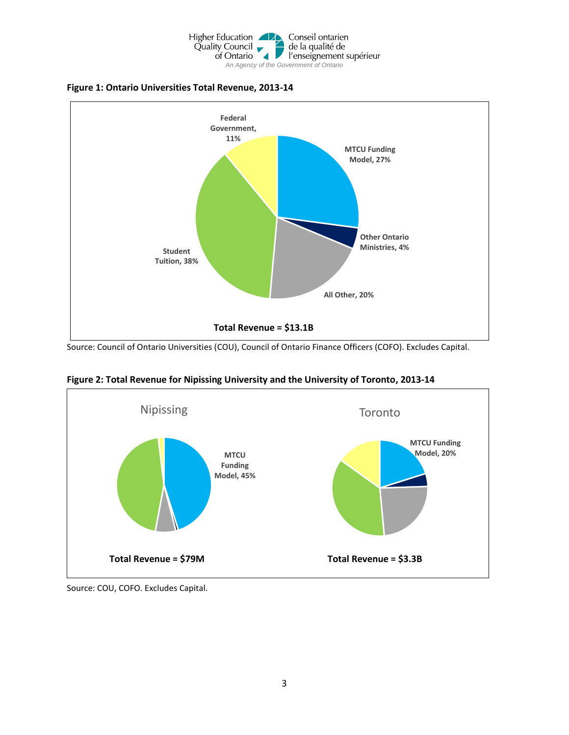





Source: Council of Ontario Universities (COU), Council of Ontario Finance Officers (COFO). Excludes Capital.



**Figure 2: Total Revenue for Nipissing University and the University of Toronto, 2013-14**

Source: COU, COFO. Excludes Capital.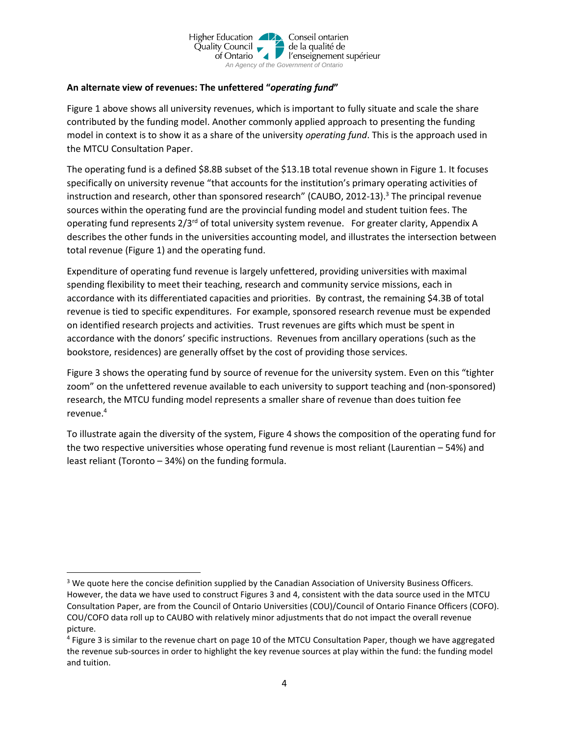

#### **An alternate view of revenues: The unfettered "***operating fund***"**

Figure 1 above shows all university revenues, which is important to fully situate and scale the share contributed by the funding model. Another commonly applied approach to presenting the funding model in context is to show it as a share of the university *operating fund*. This is the approach used in the MTCU Consultation Paper.

The operating fund is a defined \$8.8B subset of the \$13.1B total revenue shown in Figure 1. It focuses specifically on university revenue "that accounts for the institution's primary operating activities of instruction and research, other than sponsored research" (CAUBO, 2012-13). <sup>3</sup> The principal revenue sources within the operating fund are the provincial funding model and student tuition fees. The operating fund represents  $2/3^{rd}$  of total university system revenue. For greater clarity, Appendix A describes the other funds in the universities accounting model, and illustrates the intersection between total revenue (Figure 1) and the operating fund.

Expenditure of operating fund revenue is largely unfettered, providing universities with maximal spending flexibility to meet their teaching, research and community service missions, each in accordance with its differentiated capacities and priorities. By contrast, the remaining \$4.3B of total revenue is tied to specific expenditures. For example, sponsored research revenue must be expended on identified research projects and activities. Trust revenues are gifts which must be spent in accordance with the donors' specific instructions. Revenues from ancillary operations (such as the bookstore, residences) are generally offset by the cost of providing those services.

Figure 3 shows the operating fund by source of revenue for the university system. Even on this "tighter zoom" on the unfettered revenue available to each university to support teaching and (non-sponsored) research, the MTCU funding model represents a smaller share of revenue than does tuition fee revenue. 4

To illustrate again the diversity of the system, Figure 4 shows the composition of the operating fund for the two respective universities whose operating fund revenue is most reliant (Laurentian – 54%) and least reliant (Toronto – 34%) on the funding formula.

 $\overline{\phantom{a}}$ 

<sup>&</sup>lt;sup>3</sup> We quote here the concise definition supplied by the Canadian Association of University Business Officers. However, the data we have used to construct Figures 3 and 4, consistent with the data source used in the MTCU Consultation Paper, are from the Council of Ontario Universities (COU)/Council of Ontario Finance Officers (COFO). COU/COFO data roll up to CAUBO with relatively minor adjustments that do not impact the overall revenue picture.

<sup>&</sup>lt;sup>4</sup> Figure 3 is similar to the revenue chart on page 10 of the MTCU Consultation Paper, though we have aggregated the revenue sub-sources in order to highlight the key revenue sources at play within the fund: the funding model and tuition.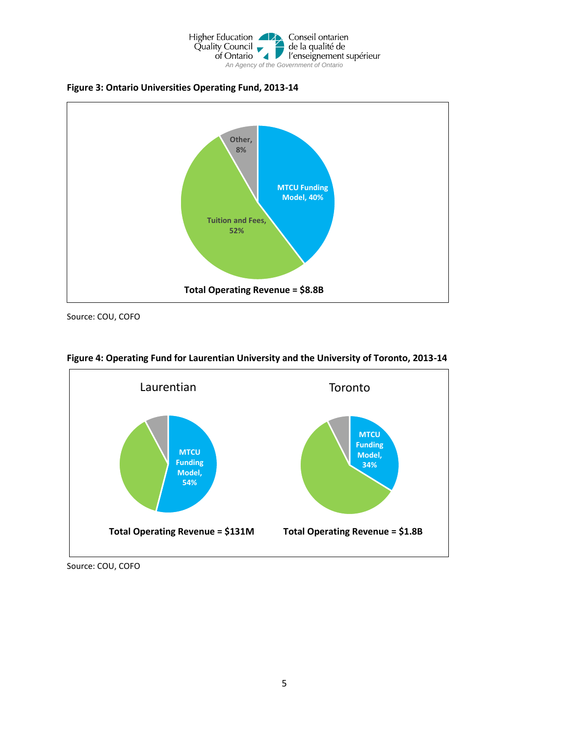





Source: COU, COFO



#### **Figure 4: Operating Fund for Laurentian University and the University of Toronto, 2013-14**

Source: COU, COFO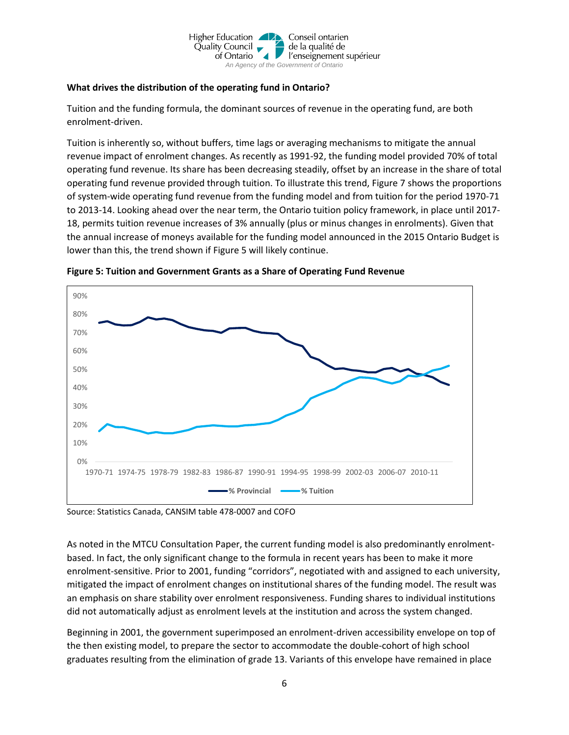

#### **What drives the distribution of the operating fund in Ontario?**

Tuition and the funding formula, the dominant sources of revenue in the operating fund, are both enrolment-driven.

Tuition is inherently so, without buffers, time lags or averaging mechanisms to mitigate the annual revenue impact of enrolment changes. As recently as 1991-92, the funding model provided 70% of total operating fund revenue. Its share has been decreasing steadily, offset by an increase in the share of total operating fund revenue provided through tuition. To illustrate this trend, Figure 7 shows the proportions of system-wide operating fund revenue from the funding model and from tuition for the period 1970-71 to 2013-14. Looking ahead over the near term, the Ontario tuition policy framework, in place until 2017- 18, permits tuition revenue increases of 3% annually (plus or minus changes in enrolments). Given that the annual increase of moneys available for the funding model announced in the 2015 Ontario Budget is lower than this, the trend shown if Figure 5 will likely continue.



**Figure 5: Tuition and Government Grants as a Share of Operating Fund Revenue**

Source: Statistics Canada, CANSIM table 478-0007 and COFO

As noted in the MTCU Consultation Paper, the current funding model is also predominantly enrolmentbased. In fact, the only significant change to the formula in recent years has been to make it more enrolment-sensitive. Prior to 2001, funding "corridors", negotiated with and assigned to each university, mitigated the impact of enrolment changes on institutional shares of the funding model. The result was an emphasis on share stability over enrolment responsiveness. Funding shares to individual institutions did not automatically adjust as enrolment levels at the institution and across the system changed.

Beginning in 2001, the government superimposed an enrolment-driven accessibility envelope on top of the then existing model, to prepare the sector to accommodate the double-cohort of high school graduates resulting from the elimination of grade 13. Variants of this envelope have remained in place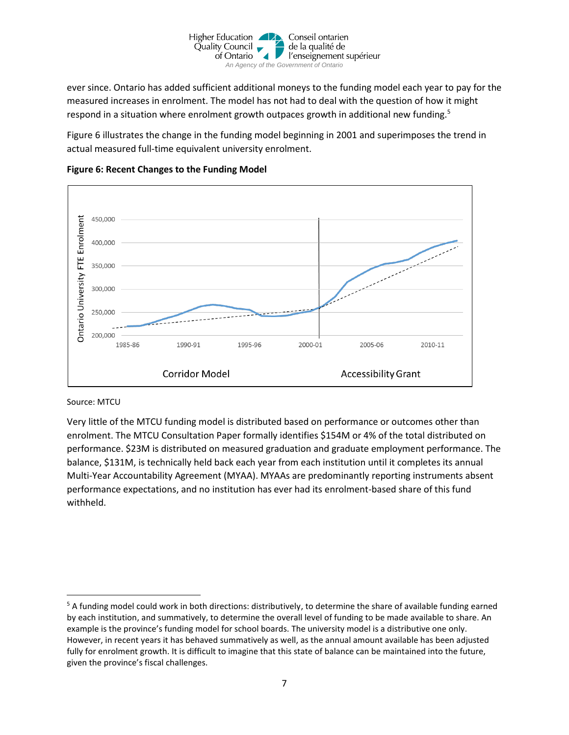

ever since. Ontario has added sufficient additional moneys to the funding model each year to pay for the measured increases in enrolment. The model has not had to deal with the question of how it might respond in a situation where enrolment growth outpaces growth in additional new funding.<sup>5</sup>

Figure 6 illustrates the change in the funding model beginning in 2001 and superimposes the trend in actual measured full-time equivalent university enrolment.



**Figure 6: Recent Changes to the Funding Model**

#### Source: MTCU

 $\overline{a}$ 

Very little of the MTCU funding model is distributed based on performance or outcomes other than enrolment. The MTCU Consultation Paper formally identifies \$154M or 4% of the total distributed on performance. \$23M is distributed on measured graduation and graduate employment performance. The balance, \$131M, is technically held back each year from each institution until it completes its annual Multi-Year Accountability Agreement (MYAA). MYAAs are predominantly reporting instruments absent performance expectations, and no institution has ever had its enrolment-based share of this fund withheld.

<sup>&</sup>lt;sup>5</sup> A funding model could work in both directions: distributively, to determine the share of available funding earned by each institution, and summatively, to determine the overall level of funding to be made available to share. An example is the province's funding model for school boards. The university model is a distributive one only. However, in recent years it has behaved summatively as well, as the annual amount available has been adjusted fully for enrolment growth. It is difficult to imagine that this state of balance can be maintained into the future, given the province's fiscal challenges.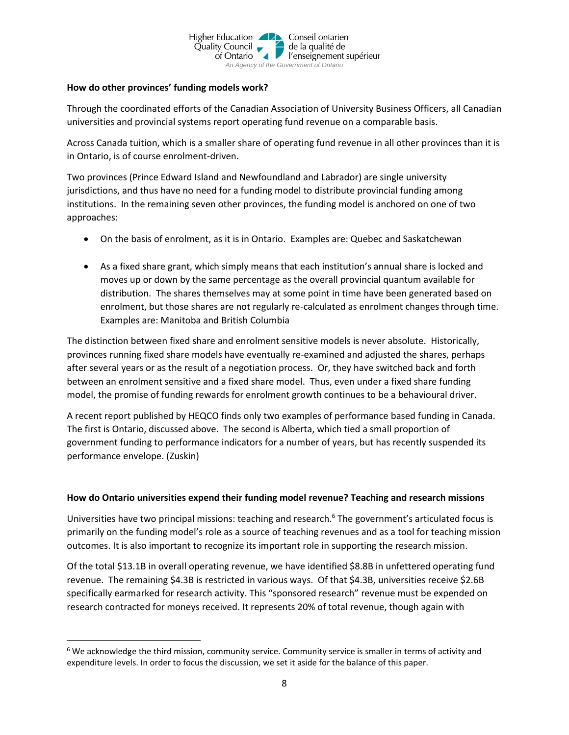

#### **How do other provinces' funding models work?**

Through the coordinated efforts of the Canadian Association of University Business Officers, all Canadian universities and provincial systems report operating fund revenue on a comparable basis.

Across Canada tuition, which is a smaller share of operating fund revenue in all other provinces than it is in Ontario, is of course enrolment-driven.

Two provinces (Prince Edward Island and Newfoundland and Labrador) are single university jurisdictions, and thus have no need for a funding model to distribute provincial funding among institutions. In the remaining seven other provinces, the funding model is anchored on one of two approaches:

- On the basis of enrolment, as it is in Ontario. Examples are: Quebec and Saskatchewan
- As a fixed share grant, which simply means that each institution's annual share is locked and moves up or down by the same percentage as the overall provincial quantum available for distribution. The shares themselves may at some point in time have been generated based on enrolment, but those shares are not regularly re-calculated as enrolment changes through time. Examples are: Manitoba and British Columbia

The distinction between fixed share and enrolment sensitive models is never absolute. Historically, provinces running fixed share models have eventually re-examined and adjusted the shares, perhaps after several years or as the result of a negotiation process. Or, they have switched back and forth between an enrolment sensitive and a fixed share model. Thus, even under a fixed share funding model, the promise of funding rewards for enrolment growth continues to be a behavioural driver.

A recent report published by HEQCO finds only two examples of performance based funding in Canada. The first is Ontario, discussed above. The second is Alberta, which tied a small proportion of government funding to performance indicators for a number of years, but has recently suspended its performance envelope. (Zuskin)

## **How do Ontario universities expend their funding model revenue? Teaching and research missions**

Universities have two principal missions: teaching and research. <sup>6</sup> The government's articulated focus is primarily on the funding model's role as a source of teaching revenues and as a tool for teaching mission outcomes. It is also important to recognize its important role in supporting the research mission.

Of the total \$13.1B in overall operating revenue, we have identified \$8.8B in unfettered operating fund revenue. The remaining \$4.3B is restricted in various ways. Of that \$4.3B, universities receive \$2.6B specifically earmarked for research activity. This "sponsored research" revenue must be expended on research contracted for moneys received. It represents 20% of total revenue, though again with

l  $6$  We acknowledge the third mission, community service. Community service is smaller in terms of activity and expenditure levels. In order to focus the discussion, we set it aside for the balance of this paper.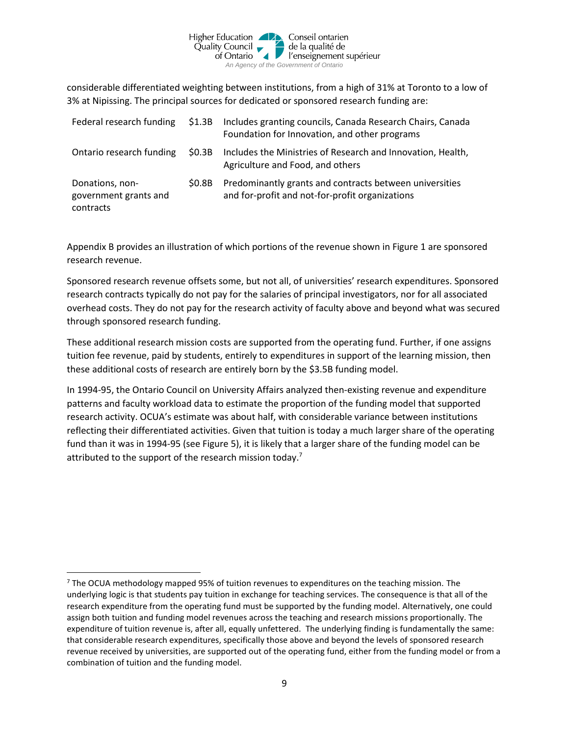

considerable differentiated weighting between institutions, from a high of 31% at Toronto to a low of 3% at Nipissing. The principal sources for dedicated or sponsored research funding are:

| Federal research funding                              | \$1.3B       | Includes granting councils, Canada Research Chairs, Canada<br>Foundation for Innovation, and other programs |
|-------------------------------------------------------|--------------|-------------------------------------------------------------------------------------------------------------|
| Ontario research funding                              | SO.3B        | Includes the Ministries of Research and Innovation, Health,<br>Agriculture and Food, and others             |
| Donations, non-<br>government grants and<br>contracts | <b>SO.8B</b> | Predominantly grants and contracts between universities<br>and for-profit and not-for-profit organizations  |

Appendix B provides an illustration of which portions of the revenue shown in Figure 1 are sponsored research revenue.

Sponsored research revenue offsets some, but not all, of universities' research expenditures. Sponsored research contracts typically do not pay for the salaries of principal investigators, nor for all associated overhead costs. They do not pay for the research activity of faculty above and beyond what was secured through sponsored research funding.

These additional research mission costs are supported from the operating fund. Further, if one assigns tuition fee revenue, paid by students, entirely to expenditures in support of the learning mission, then these additional costs of research are entirely born by the \$3.5B funding model.

In 1994-95, the Ontario Council on University Affairs analyzed then-existing revenue and expenditure patterns and faculty workload data to estimate the proportion of the funding model that supported research activity. OCUA's estimate was about half, with considerable variance between institutions reflecting their differentiated activities. Given that tuition is today a much larger share of the operating fund than it was in 1994-95 (see Figure 5), it is likely that a larger share of the funding model can be attributed to the support of the research mission today.<sup>7</sup>

 $\overline{\phantom{a}}$ 

 $<sup>7</sup>$  The OCUA methodology mapped 95% of tuition revenues to expenditures on the teaching mission. The</sup> underlying logic is that students pay tuition in exchange for teaching services. The consequence is that all of the research expenditure from the operating fund must be supported by the funding model. Alternatively, one could assign both tuition and funding model revenues across the teaching and research missions proportionally. The expenditure of tuition revenue is, after all, equally unfettered. The underlying finding is fundamentally the same: that considerable research expenditures, specifically those above and beyond the levels of sponsored research revenue received by universities, are supported out of the operating fund, either from the funding model or from a combination of tuition and the funding model.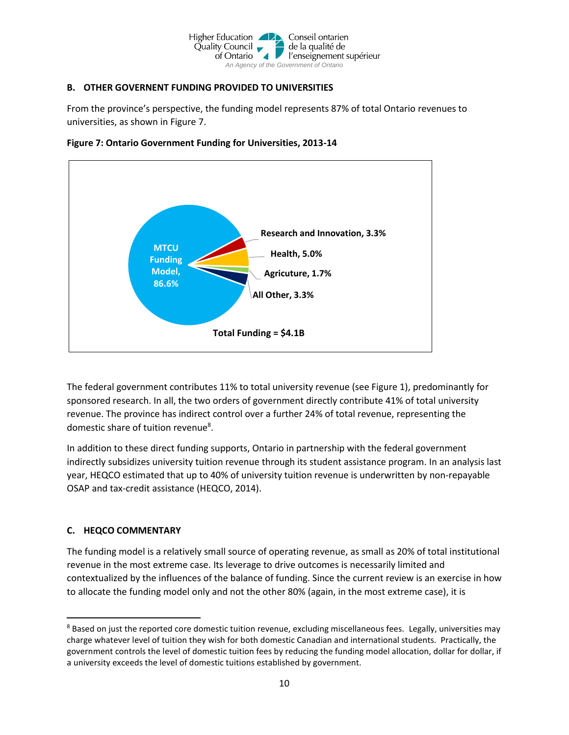

#### **B. OTHER GOVERNENT FUNDING PROVIDED TO UNIVERSITIES**

From the province's perspective, the funding model represents 87% of total Ontario revenues to universities, as shown in Figure 7.



**Figure 7: Ontario Government Funding for Universities, 2013-14**

The federal government contributes 11% to total university revenue (see Figure 1), predominantly for sponsored research. In all, the two orders of government directly contribute 41% of total university revenue. The province has indirect control over a further 24% of total revenue, representing the domestic share of tuition revenue<sup>8</sup>.

In addition to these direct funding supports, Ontario in partnership with the federal government indirectly subsidizes university tuition revenue through its student assistance program. In an analysis last year, HEQCO estimated that up to 40% of university tuition revenue is underwritten by non-repayable OSAP and tax-credit assistance (HEQCO, 2014).

## **C. HEQCO COMMENTARY**

 $\overline{a}$ 

The funding model is a relatively small source of operating revenue, as small as 20% of total institutional revenue in the most extreme case. Its leverage to drive outcomes is necessarily limited and contextualized by the influences of the balance of funding. Since the current review is an exercise in how to allocate the funding model only and not the other 80% (again, in the most extreme case), it is

<sup>&</sup>lt;sup>8</sup> Based on just the reported core domestic tuition revenue, excluding miscellaneous fees. Legally, universities may charge whatever level of tuition they wish for both domestic Canadian and international students. Practically, the government controls the level of domestic tuition fees by reducing the funding model allocation, dollar for dollar, if a university exceeds the level of domestic tuitions established by government.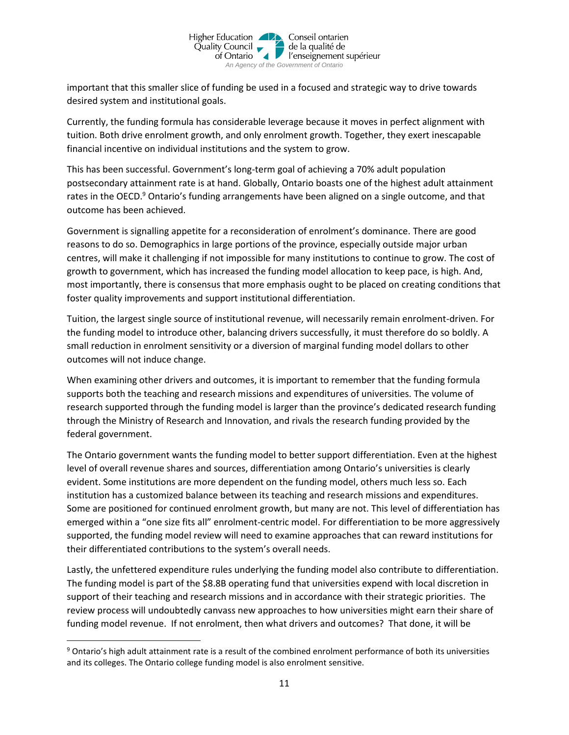

important that this smaller slice of funding be used in a focused and strategic way to drive towards desired system and institutional goals.

Currently, the funding formula has considerable leverage because it moves in perfect alignment with tuition. Both drive enrolment growth, and only enrolment growth. Together, they exert inescapable financial incentive on individual institutions and the system to grow.

This has been successful. Government's long-term goal of achieving a 70% adult population postsecondary attainment rate is at hand. Globally, Ontario boasts one of the highest adult attainment rates in the OECD.<sup>9</sup> Ontario's funding arrangements have been aligned on a single outcome, and that outcome has been achieved.

Government is signalling appetite for a reconsideration of enrolment's dominance. There are good reasons to do so. Demographics in large portions of the province, especially outside major urban centres, will make it challenging if not impossible for many institutions to continue to grow. The cost of growth to government, which has increased the funding model allocation to keep pace, is high. And, most importantly, there is consensus that more emphasis ought to be placed on creating conditions that foster quality improvements and support institutional differentiation.

Tuition, the largest single source of institutional revenue, will necessarily remain enrolment-driven. For the funding model to introduce other, balancing drivers successfully, it must therefore do so boldly. A small reduction in enrolment sensitivity or a diversion of marginal funding model dollars to other outcomes will not induce change.

When examining other drivers and outcomes, it is important to remember that the funding formula supports both the teaching and research missions and expenditures of universities. The volume of research supported through the funding model is larger than the province's dedicated research funding through the Ministry of Research and Innovation, and rivals the research funding provided by the federal government.

The Ontario government wants the funding model to better support differentiation. Even at the highest level of overall revenue shares and sources, differentiation among Ontario's universities is clearly evident. Some institutions are more dependent on the funding model, others much less so. Each institution has a customized balance between its teaching and research missions and expenditures. Some are positioned for continued enrolment growth, but many are not. This level of differentiation has emerged within a "one size fits all" enrolment-centric model. For differentiation to be more aggressively supported, the funding model review will need to examine approaches that can reward institutions for their differentiated contributions to the system's overall needs.

Lastly, the unfettered expenditure rules underlying the funding model also contribute to differentiation. The funding model is part of the \$8.8B operating fund that universities expend with local discretion in support of their teaching and research missions and in accordance with their strategic priorities. The review process will undoubtedly canvass new approaches to how universities might earn their share of funding model revenue. If not enrolment, then what drivers and outcomes? That done, it will be

l

<sup>9</sup> Ontario's high adult attainment rate is a result of the combined enrolment performance of both its universities and its colleges. The Ontario college funding model is also enrolment sensitive.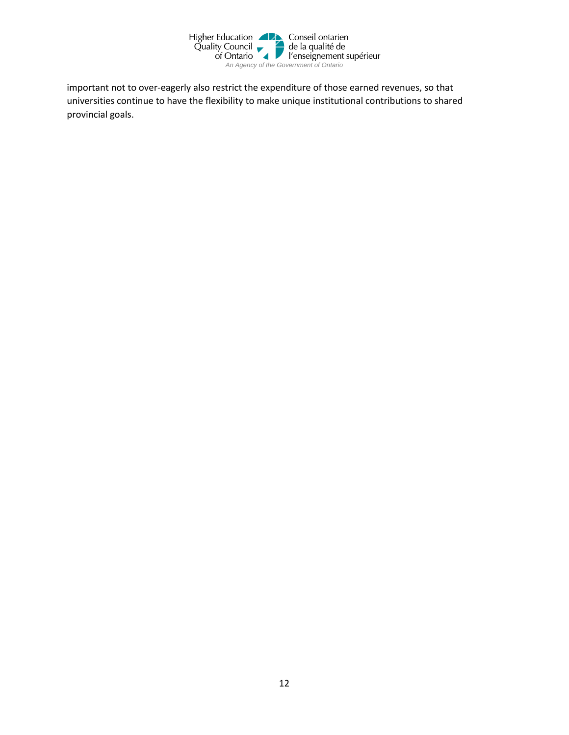

important not to over-eagerly also restrict the expenditure of those earned revenues, so that universities continue to have the flexibility to make unique institutional contributions to shared provincial goals.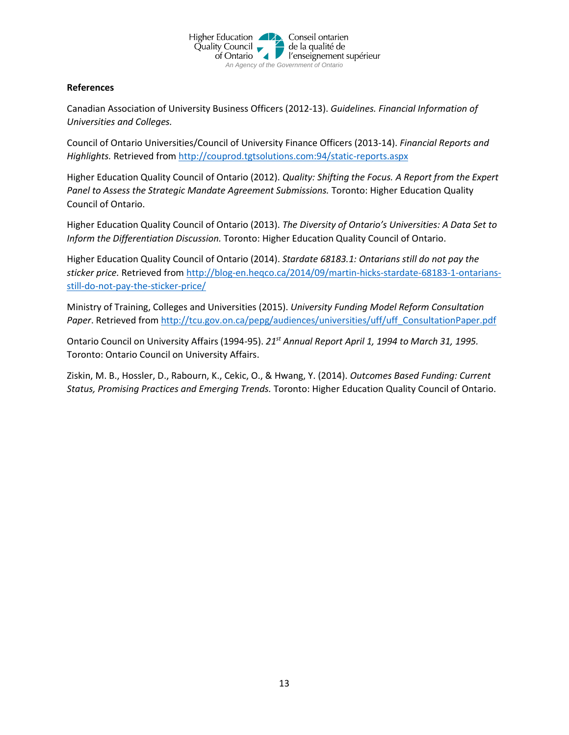

#### **References**

Canadian Association of University Business Officers (2012-13). *Guidelines. Financial Information of Universities and Colleges.*

Council of Ontario Universities/Council of University Finance Officers (2013-14). *Financial Reports and Highlights.* Retrieved from<http://couprod.tgtsolutions.com:94/static-reports.aspx>

Higher Education Quality Council of Ontario (2012). *Quality: Shifting the Focus. A Report from the Expert Panel to Assess the Strategic Mandate Agreement Submissions.* Toronto: Higher Education Quality Council of Ontario.

Higher Education Quality Council of Ontario (2013). *The Diversity of Ontario's Universities: A Data Set to Inform the Differentiation Discussion.* Toronto: Higher Education Quality Council of Ontario.

Higher Education Quality Council of Ontario (2014). *Stardate 68183.1: Ontarians still do not pay the sticker price.* Retrieved fro[m http://blog-en.heqco.ca/2014/09/martin-hicks-stardate-68183-1-ontarians](http://blog-en.heqco.ca/2014/09/martin-hicks-stardate-68183-1-ontarians-still-do-not-pay-the-sticker-price/)[still-do-not-pay-the-sticker-price/](http://blog-en.heqco.ca/2014/09/martin-hicks-stardate-68183-1-ontarians-still-do-not-pay-the-sticker-price/)

Ministry of Training, Colleges and Universities (2015). *University Funding Model Reform Consultation Paper*. Retrieved from [http://tcu.gov.on.ca/pepg/audiences/universities/uff/uff\\_ConsultationPaper.pdf](http://tcu.gov.on.ca/pepg/audiences/universities/uff/uff_ConsultationPaper.pdf)

Ontario Council on University Affairs (1994-95). *21st Annual Report April 1, 1994 to March 31, 1995.* Toronto: Ontario Council on University Affairs.

Ziskin, M. B., Hossler, D., Rabourn, K., Cekic, O., & Hwang, Y. (2014). *Outcomes Based Funding: Current Status, Promising Practices and Emerging Trends.* Toronto: Higher Education Quality Council of Ontario.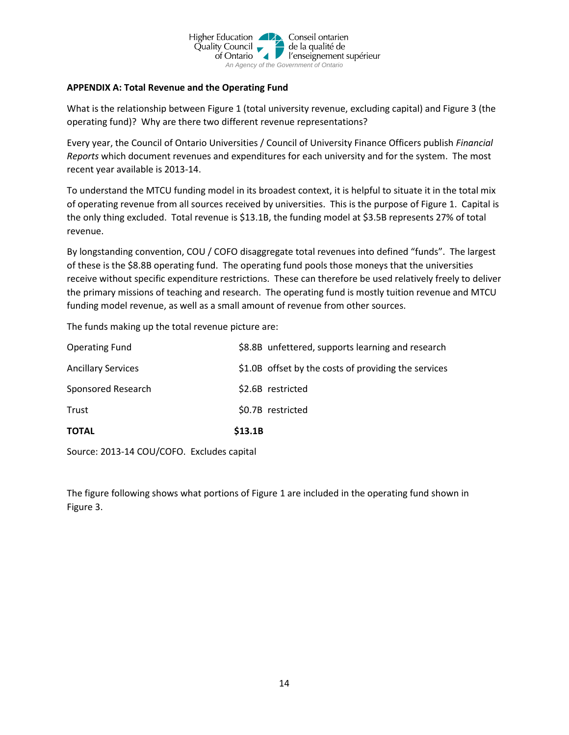

#### **APPENDIX A: Total Revenue and the Operating Fund**

What is the relationship between Figure 1 (total university revenue, excluding capital) and Figure 3 (the operating fund)? Why are there two different revenue representations?

Every year, the Council of Ontario Universities / Council of University Finance Officers publish *Financial Reports* which document revenues and expenditures for each university and for the system. The most recent year available is 2013-14.

To understand the MTCU funding model in its broadest context, it is helpful to situate it in the total mix of operating revenue from all sources received by universities. This is the purpose of Figure 1. Capital is the only thing excluded. Total revenue is \$13.1B, the funding model at \$3.5B represents 27% of total revenue.

By longstanding convention, COU / COFO disaggregate total revenues into defined "funds". The largest of these is the \$8.8B operating fund. The operating fund pools those moneys that the universities receive without specific expenditure restrictions. These can therefore be used relatively freely to deliver the primary missions of teaching and research. The operating fund is mostly tuition revenue and MTCU funding model revenue, as well as a small amount of revenue from other sources.

The funds making up the total revenue picture are:

| <b>TOTAL</b>              | \$13.1B                                              |
|---------------------------|------------------------------------------------------|
| Trust                     | \$0.7B restricted                                    |
| Sponsored Research        | \$2.6B restricted                                    |
| <b>Ancillary Services</b> | \$1.0B offset by the costs of providing the services |
| <b>Operating Fund</b>     | \$8.8B unfettered, supports learning and research    |

Source: 2013-14 COU/COFO. Excludes capital

The figure following shows what portions of Figure 1 are included in the operating fund shown in Figure 3.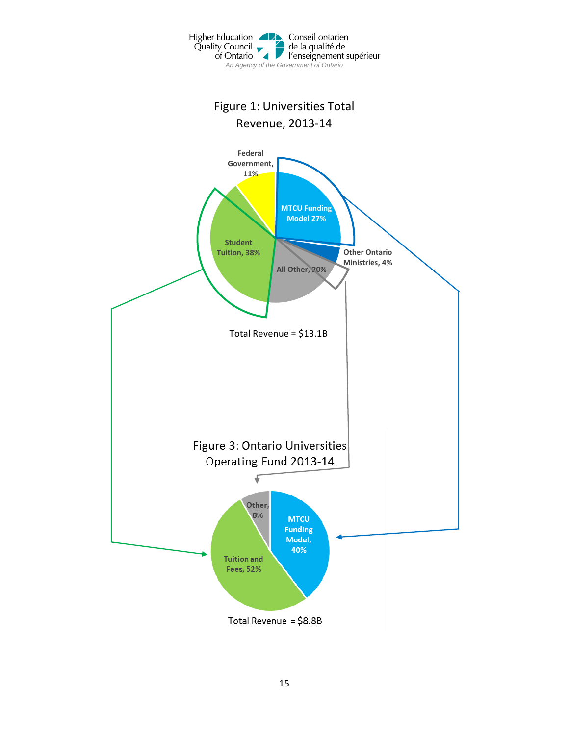